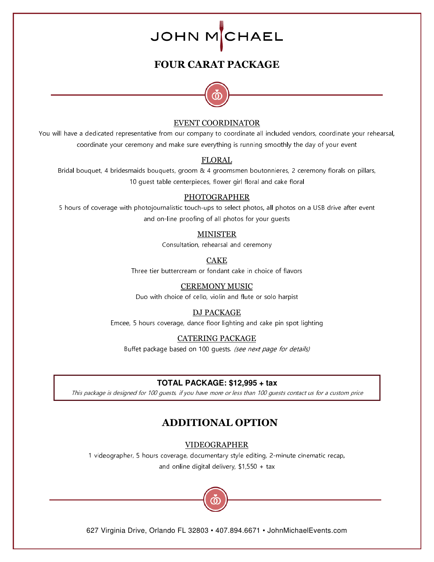## **FOUR CARAT PACKAGE**



#### EVENT COORDINATOR

You will have a dedicated representative from our company to coordinate all included vendors, coordinate your rehearsal, coordinate your ceremony and make sure everything is running smoothly the day of your event

#### FLORAL

Bridal bouquet, 4 bridesmaids bouquets, groom & 4 groomsmen boutonnieres, 2 ceremony florals on pillars, 10 guest table centerpieces, flower girl floral and cake floral

#### PHOTOGRAPHER

5 hours of coverage with photojournalistic touch-ups to select photos, all photos on a USB drive after event and on-line proofing of all photos for your guests

#### MINISTER

Consultation, rehearsal and ceremony

CAKE

Three tier buttercream or fondant cake in choice of flavors

#### CEREMONY MUSIC

Duo with choice of cello, violin and flute or solo harpist

#### DJ PACKAGE

Emcee, 5 hours coverage, dance floor lighting and cake pin spot lighting

#### CATERING PACKAGE

Buffet package based on 100 guests. (see next page for details)

#### **TOTAL PACKAGE: \$12,995 + tax**

This package is designed for 100 guests, if you have more or less than 100 guests contact us for a custom price

## **ADDITIONAL OPTION**

VIDEOGRAPHER

1 videographer, 5 hours coverage, documentary style editing, 2-minute cinematic recap, and online digital delivery, \$1,550 + tax

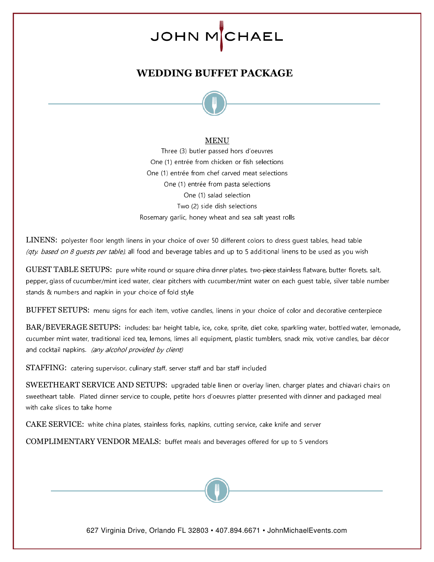# **WEDDING BUFFET PACKAGE**



#### MENU

Three (3) butler passed hors d'oeuvres One (1) entrée from chicken or fish selections One (1) entrée from chef carved meat selections One (1) entrée from pasta selections One (1) salad selection Two (2) side dish selections Rosemary garlic, honey wheat and sea salt yeast rolls

LINENS: polyester floor length linens in your choice of over 50 different colors to dress guest tables, head table (qty. based on 8 guests per table), all food and beverage tables and up to 5 additional linens to be used as you wish

GUEST TABLE SETUPS: pure white round or square china dinner plates, two-piece stainless flatware, butter florets, salt, pepper, glass of cucumber/mint iced water, clear pitchers with cucumber/mint water on each guest table, silver table number stands & numbers and napkin in your choice of fold style

BUFFET SETUPS: menu signs for each item, votive candles, linens in your choice of color and decorative centerpiece

BAR/BEVERAGE SETUPS: includes: bar height table, ice, coke, sprite, diet coke, sparkling water, bottled water, lemonade, cucumber mint water, traditional iced tea, lemons, limes all equipment, plastic tumblers, snack mix, votive candles, bar décor and cocktail napkins. (any alcohol provided by client)

STAFFING: catering supervisor, culinary staff, server staff and bar staff included

SWEETHEART SERVICE AND SETUPS: upgraded table linen or overlay linen, charger plates and chiavari chairs on sweetheart table. Plated dinner service to couple, petite hors d'oeuvres platter presented with dinner and packaged meal with cake slices to take home

CAKE SERVICE: white china plates, stainless forks, napkins, cutting service, cake knife and server

COMPLIMENTARY VENDOR MEALS: buffet meals and beverages offered for up to 5 vendors

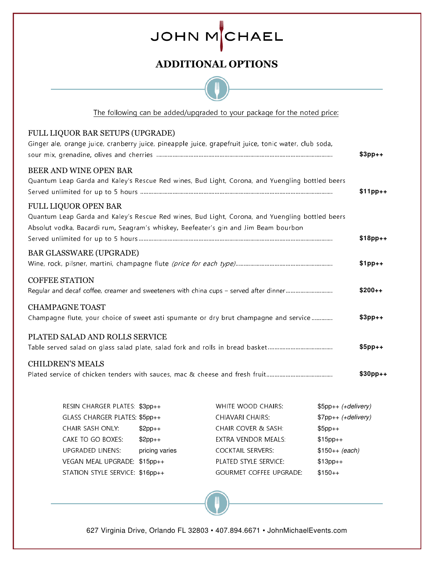# **ADDITIONAL OPTIONS**

| The following can be added/upgraded to your package for the noted price:                                                                                                                                              |           |
|-----------------------------------------------------------------------------------------------------------------------------------------------------------------------------------------------------------------------|-----------|
| FULL LIQUOR BAR SETUPS (UPGRADE)<br>Ginger ale, orange juice, cranberry juice, pineapple juice, grapefruit juice, tonic water, club soda,                                                                             | $$3pp++$  |
| <b>BEER AND WINE OPEN BAR</b><br>Quantum Leap Garda and Kaley's Rescue Red wines, Bud Light, Corona, and Yuengling bottled beers                                                                                      | $$11pp++$ |
| <b>FULL LIQUOR OPEN BAR</b><br>Quantum Leap Garda and Kaley's Rescue Red wines, Bud Light, Corona, and Yuengling bottled beers<br>Absolut vodka, Bacardi rum, Seagram's whiskey, Beefeater's gin and Jim Beam bourbon | $$18pp++$ |
| <b>BAR GLASSWARE (UPGRADE)</b>                                                                                                                                                                                        | $$1pp++$  |
| <b>COFFEE STATION</b><br>Regular and decaf coffee, creamer and sweeteners with china cups - served after dinner                                                                                                       | $$200++$  |
| <b>CHAMPAGNE TOAST</b><br>Champagne flute, your choice of sweet asti spumante or dry brut champagne and service                                                                                                       | $$3pp++$  |
| PLATED SALAD AND ROLLS SERVICE                                                                                                                                                                                        | $$5pp++$  |
| <b>CHILDREN'S MEALS</b>                                                                                                                                                                                               | $$30pp++$ |

| RESIN CHARGER PLATES: \$3pp++   |                | WHITE WOOD CHAIRS:             | $$5pp++ (+delivery)$ |
|---------------------------------|----------------|--------------------------------|----------------------|
| GLASS CHARGER PLATES: \$5pp++   |                | CHIAVARI CHAIRS:               | $$7pp++ (+delivery)$ |
| <b>CHAIR SASH ONLY:</b>         | $$2pp++$       | CHAIR COVER & SASH:            | $$5pp++$             |
| CAKE TO GO BOXES:               | $$2pp++$       | <b>EXTRA VENDOR MEALS:</b>     | $$15pp++$            |
| <b>UPGRADED LINENS:</b>         | pricing varies | <b>COCKTAIL SERVERS:</b>       | $$150++ (each)$      |
| VEGAN MEAL UPGRADE: \$15pp++    |                | PLATED STYLE SERVICE:          | $$13pp++$            |
| STATION STYLE SERVICE: \$16pp++ |                | <b>GOURMET COFFEE UPGRADE:</b> | $$150++$             |